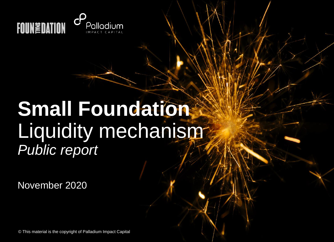

## **Small Foundation** Liquidity mechanism<sup>-</sup> *Public report*

November 2020

© This material is the copyright of Palladium Impact Capital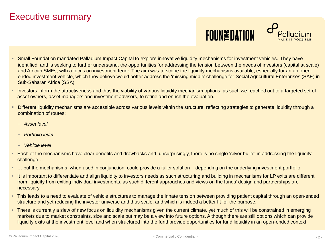## Executive summary



- Small Foundation mandated Palladium Impact Capital to explore innovative liquidity mechanisms for investment vehicles. They have identified, and is seeking to further understand, the opportunities for addressing the tension between the needs of investors (capital at scale) and African SMEs, with a focus on investment tenor. The aim was to scope the liquidity mechanisms available, especially for an an openended investment vehicle, which they believe would better address the 'missing middle' challenge for Social Agricultural Enterprises (SAE) in Sub-Saharan Africa (SSA).
- Investors inform the attractiveness and thus the viability of various liquidity mechanism options, as such we reached out to a targeted set of asset owners, asset managers and investment advisors, to refine and enrich the evaluation.
- Different liquidity mechanisms are accessible across various levels within the structure, reflecting strategies to generate liquidity through a combination of routes:
	- *Asset level*
	- *Portfolio level*
	- *Vehicle level*
- Each of the mechanisms have clear benefits and drawbacks and, unsurprisingly, there is no single 'silver bullet' in addressing the liquidity challenge…
- ... but the mechanisms, when used in conjunction, could provide a fuller solution depending on the underlying investment portfolio.
- It is important to differentiate and align liquidity to investors needs as such structuring and building in mechanisms for LP exits are different from liquidity from exiting individual investments, as such different approaches and views on the funds' design and partnerships are necessary.
- This leads to a need to evaluate of vehicle structures to manage the innate tension between providing patient capital through an open-ended structure and yet reducing the investor universe and thus scale, and which is indeed a better fit for the purpose.
- There is currently a slew of new focus on liquidity mechanisms given the current climate, yet much of this will be constrained in emerging markets due to market constraints, size and scale but may be a view into future options. Although there are still options which can provide liquidity exits at the investment level and when structured into the fund provide opportunities for fund liquidity in an open-ended context.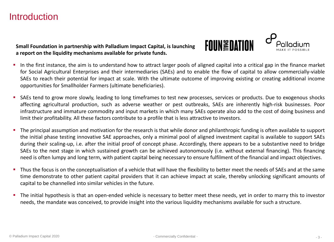## **Introduction**

**Small Foundation in partnership with Palladium Impact Capital, is launching a report on the liquidity mechanisms available for private funds.**



- **.** In the first instance, the aim is to understand how to attract larger pools of aligned capital into a critical gap in the finance market for Social Agricultural Enterprises and their intermediaries (SAEs) and to enable the flow of capital to allow commercially-viable SAEs to reach their potential for impact at scale. With the ultimate outcome of improving existing or creating additional income opportunities for Smallholder Farmers (ultimate beneficiaries).
- SAEs tend to grow more slowly, leading to long timeframes to test new processes, services or products. Due to exogenous shocks affecting agricultural production, such as adverse weather or pest outbreaks, SAEs are inherently high-risk businesses. Poor infrastructure and immature commodity and input markets in which many SAEs operate also add to the cost of doing business and limit their profitability. All these factors contribute to a profile that is less attractive to investors.
- The principal assumption and motivation for the research is that while donor and philanthropic funding is often available to support the initial phase testing innovative SAE approaches, only a minimal pool of aligned investment capital is available to support SAEs during their scaling-up, i.e. after the initial proof of concept phase. Accordingly, there appears to be a substantive need to bridge SAEs to the next stage in which sustained growth can be achieved autonomously (i.e. without external financing). This financing need is often lumpy and long term, with patient capital being necessary to ensure fulfilment of the financial and impact objectives.
- **Thus the focus is on the conceptualisation of a vehicle that will have the flexibility to better meet the needs of SAEs and at the same** time demonstrate to other patient capital providers that it can achieve impact at scale, thereby unlocking significant amounts of capital to be channelled into similar vehicles in the future.
- The initial hypothesis is that an open-ended vehicle is necessary to better meet these needs, yet in order to marry this to investor needs, the mandate was conceived, to provide insight into the various liquidity mechanisms available for such a structure.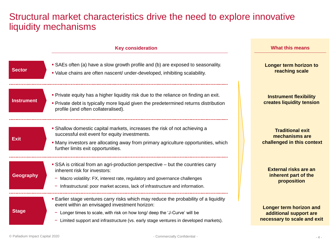## Structural market characteristics drive the need to explore innovative liquidity mechanisms

|                   | <b>Key consideration</b>                                                                                                                                                                                                                                                                                      | <b>What this means</b>                                                                  |
|-------------------|---------------------------------------------------------------------------------------------------------------------------------------------------------------------------------------------------------------------------------------------------------------------------------------------------------------|-----------------------------------------------------------------------------------------|
| <b>Sector</b>     | • SAEs often (a) have a slow growth profile and (b) are exposed to seasonality.<br>• Value chains are often nascent/ under-developed, inhibiting scalability.                                                                                                                                                 | Longer term horizon to<br>reaching scale                                                |
| <b>Instrument</b> | • Private equity has a higher liquidity risk due to the reliance on finding an exit.<br>• Private debt is typically more liquid given the predetermined returns distribution<br>profile (and often collateralised).                                                                                           | <b>Instrument flexibility</b><br>creates liquidity tension                              |
| <b>Exit</b>       | • Shallow domestic capital markets, increases the risk of not achieving a<br>successful exit event for equity investments.<br>• Many investors are allocating away from primary agriculture opportunities, which<br>further limits exit opportunities.                                                        | <b>Traditional exit</b><br>mechanisms are<br>challenged in this context                 |
| <b>Geography</b>  | • SSA is critical from an agri-production perspective – but the countries carry<br>inherent risk for investors:<br>- Macro volatility: FX, interest rate, regulatory and governance challenges<br>Infrastructural: poor market access, lack of infrastructure and information.                                | External risks are an<br>inherent part of the<br>proposition                            |
| <b>Stage</b>      | <b>Earlier stage ventures carry risks which may reduce the probability of a liquidity</b><br>event within an envisaged investment horizon:<br>Longer times to scale, with risk on how long/ deep the 'J-Curve' will be<br>Limited support and infrastructure (vs. early stage ventures in developed markets). | <b>Longer term horizon and</b><br>additional support are<br>necessary to scale and exit |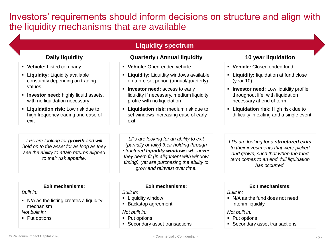Investors' requirements should inform decisions on structure and align with the liquidity mechanisms that are available

#### **Liquidity spectrum**

- **Vehicle:** Listed company
- **Liquidity:** Liquidity available constantly depending on trading values
- **E** Investor need: highly liquid assets, with no liquidation necessary
- **Liquidation risk:** Low risk due to high frequency trading and ease of exit

*LPs are looking for growth and will hold on to the asset for as long as they see the ability to attain returns aligned to their risk appetite.*

#### **Daily liquidity Quarterly / Annual liquidity 10 year liquidation**

- **Vehicle:** Open-ended vehicle
- **Example 2** Liquidity windows available on a pre-set period (annual/quarterly)
- **E** Investor need: access to early liquidity if necessary, medium liquidity profile with no liquidation
- **Liquidation risk:** medium risk due to set windows increasing ease of early exit

*LPs are looking for an ability to exit (partially or fully) their holding through structured liquidity windows whenever they deem fit (in alignment with window timing), yet are purchasing the ability to grow and reinvest over time.*

- **Vehicle:** Closed ended fund
- **Liquidity:** liquidation at fund close (year 10)
- **EXEDE: Low liquidity profile** throughout life, with liquidation necessary at end of term
- **Liquidation risk:** High risk due to difficulty in exiting and a single event

*LPs are looking for a structured exits to their investments that were picked and grown, such that when the fund term comes to an end, full liquidation has occurred.*

#### **Exit mechanisms:**

#### *Built in:*

■ N/A as the listing creates a liquidity mechanism

*Not built in:*

■ Put options

**Exit mechanisms:**

#### *Built in:*

- **E** Liquidity window
- Backstop agreement

#### *Not built in:*

- Put options
- Secondary asset transactions

#### **Exit mechanisms:**

#### *Built in:*

■ N/A as the fund does not need interim liquidity

#### *Not built in:*

- Put options
- Secondary asset transactions

© Palladium Impact Capital 2020

- Commercially Confidential -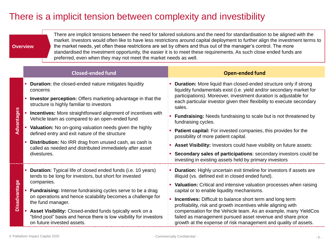## There is a implicit tension between complexity and investibility

#### **Overview**

There are implicit tensions between the need for tailored solutions and the need for standardisation to be aligned with the market. Investors would often like to have less restrictions around capital deployment to further align the investment terms to the market needs, yet often these restrictions are set by others and thus out of the manager's control. The more standardised the investment opportunity, the easier it is to meet these requirements. As such close ended funds are preferred, even when they may not meet the market needs as well.

|                     | <b>Closed-ended fund</b>                                                                                                                                                                                                                                                                                                                                                                                                                                                                                                                                                | <b>Open-ended fund</b>                                                                                                                                                                                                                                                                                                                                                                                                                                                                                                                                                                                                                                                                                                   |
|---------------------|-------------------------------------------------------------------------------------------------------------------------------------------------------------------------------------------------------------------------------------------------------------------------------------------------------------------------------------------------------------------------------------------------------------------------------------------------------------------------------------------------------------------------------------------------------------------------|--------------------------------------------------------------------------------------------------------------------------------------------------------------------------------------------------------------------------------------------------------------------------------------------------------------------------------------------------------------------------------------------------------------------------------------------------------------------------------------------------------------------------------------------------------------------------------------------------------------------------------------------------------------------------------------------------------------------------|
| Advantages          | <b>Duration:</b> the closed-ended nature mitigates liquidity<br>concerns<br><b>Investor perception:</b> Offers marketing advantage in that the<br>structure is highly familiar to investors<br><b>Incentives:</b> More straightforward alignment of incentives with<br>Vehicle team as compared to an open-ended fund<br>Valuation: No on-going valuation needs given the highly<br>defined entry and exit nature of the structure<br>Distribution: No IRR drag from unused cash, as cash is<br>called as needed and distributed immediately after asset<br>divestures. | <b>Duration:</b> More liquid than closed-ended structure only if strong<br>liquidity fundamentals exist (i.e. yield and/or secondary market for<br>participations). Moreover, investment duration is adjustable for<br>each particular investor given their flexibility to execute secondary<br>sales.<br><b>Fundraising:</b> Needs fundraising to scale but is not threatened by<br>fundraising cycles.<br>Patient capital: For invested companies, this provides for the<br>possibility of more patient capital.<br>• Asset Visibility: Investors could have visibility on future assets:<br>Secondary sales of participations: secondary investors could be<br>investing in existing assets held by primary investors |
| <b>Disadvantage</b> | <b>Duration:</b> Typical life of closed ended funds (i.e. 10 years)<br>$\blacksquare$<br>tends to be long for investors, but short for invested<br>companies.<br><b>Fundraising:</b> Intense fundraising cycles serve to be a drag<br>on operations and hence scalability becomes a challenge for<br>the fund manager.<br>Asset Visibility: Closed-ended funds typically work on a<br>"blind pool" basis and hence there is low visibility for investors<br>on future invested assets.                                                                                  | • Duration: Highly uncertain exit timeline for investors if assets are<br>illiquid (vs. defined exit in closed ended fund).<br>• Valuation: Critical and intensive valuation processes when raising<br>capital or to enable liquidity mechanisms.<br><b>Incentives:</b> Difficult to balance short term and long term<br>profitability, risk and growth incentives while aligning with<br>compensation for the Vehicle team. As an example, many YieldCos<br>failed as management pursued asset revenue and share price<br>growth at the expense of risk management and quality of assets.                                                                                                                               |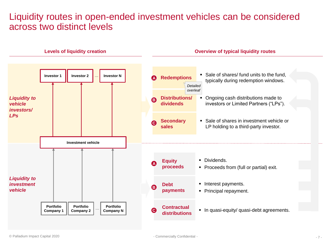## Liquidity routes in open-ended investment vehicles can be considered across two distinct levels

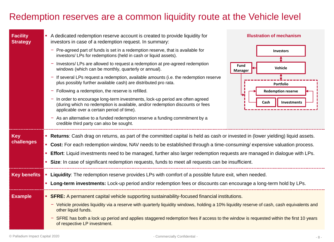## Redemption reserves are a common liquidity route at the Vehicle level

| <b>Facility</b><br><b>Strategy</b> |                                                                                                                                                                       | A dedicated redemption reserve account is created to provide liquidity for<br>investors in case of a redemption request. In summary:                                                                        | <b>Illustration of mechanism</b>                                                                    |  |
|------------------------------------|-----------------------------------------------------------------------------------------------------------------------------------------------------------------------|-------------------------------------------------------------------------------------------------------------------------------------------------------------------------------------------------------------|-----------------------------------------------------------------------------------------------------|--|
|                                    |                                                                                                                                                                       | $-$ Pre-agreed part of funds is set in a redemption reserve, that is available for<br>investors/ LPs for redemptions (held in cash or liquid assets).                                                       | <b>Investors</b>                                                                                    |  |
|                                    |                                                                                                                                                                       | - Investors/ LPs are allowed to request a redemption at pre-agreed redemption<br>windows (which can be monthly, quarterly or annual).                                                                       | Fund<br>Vehicle<br><b>Manager</b>                                                                   |  |
|                                    |                                                                                                                                                                       | - If several LPs request a redemption, available amounts (i.e. the redemption reserve<br>plus possibly further available cash) are distributed pro rata.                                                    | Portfolio                                                                                           |  |
|                                    |                                                                                                                                                                       | $-$ Following a redemption, the reserve is refilled.                                                                                                                                                        | <b>Redemption reserve</b>                                                                           |  |
|                                    |                                                                                                                                                                       | In order to encourage long-term investments, lock-up period are often agreed<br>(during which no redemption is available, and/or redemption discounts or fees<br>applicable over a certain period of time). | Cash<br>Investments                                                                                 |  |
|                                    |                                                                                                                                                                       | $-$ As an alternative to a funded redemption reserve a funding commitment by a<br>credible third party can also be sought.                                                                                  |                                                                                                     |  |
| <b>Key</b>                         |                                                                                                                                                                       | • Returns: Cash drag on returns, as part of the committed capital is held as cash or invested in (lower yielding) liquid assets.                                                                            |                                                                                                     |  |
| challenges                         |                                                                                                                                                                       | • Cost: For each redemption window, NAV needs to be established through a time-consuming/expensive valuation process.                                                                                       |                                                                                                     |  |
|                                    |                                                                                                                                                                       | <b>Effort</b> : Liquid investments need to be managed, further also larger redemption requests are managed in dialogue with LPs.                                                                            |                                                                                                     |  |
|                                    |                                                                                                                                                                       |                                                                                                                                                                                                             | • Size: In case of significant redemption requests, funds to meet all requests can be insufficient. |  |
| <b>Key benefits</b>                |                                                                                                                                                                       | Liquidity: The redemption reserve provides LPs with comfort of a possible future exit, when needed.                                                                                                         |                                                                                                     |  |
|                                    |                                                                                                                                                                       | <b>Long-term investments:</b> Lock-up period and/or redemption fees or discounts can encourage a long-term hold by LPs.                                                                                     |                                                                                                     |  |
| <b>Example</b>                     | • SFRE: A permanent capital vehicle supporting sustainability-focused financial institutions.                                                                         |                                                                                                                                                                                                             |                                                                                                     |  |
|                                    | - Vehicle provides liquidity via a reserve with quarterly liquidity windows, holding a 10% liquidity reserve of cash, cash equivalents and<br>other liquid funds.     |                                                                                                                                                                                                             |                                                                                                     |  |
|                                    | - SFRE has both a lock up period and applies staggered redemption fees if access to the window is requested within the first 10 years<br>of respective LP investment. |                                                                                                                                                                                                             |                                                                                                     |  |
|                                    |                                                                                                                                                                       |                                                                                                                                                                                                             |                                                                                                     |  |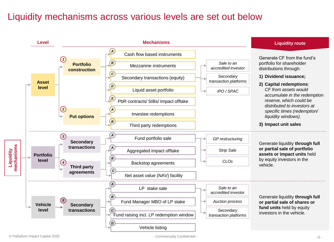## Liquidity mechanisms across various levels are set out below

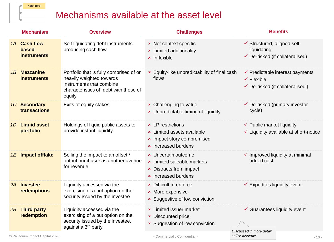

## Mechanisms available at the asset level

|    | <b>Mechanism</b>                                   | <b>Overview</b>                                                                                                                                    | <b>Challenges</b>                                                                                                               | <b>Benefits</b>                                                                                                    |
|----|----------------------------------------------------|----------------------------------------------------------------------------------------------------------------------------------------------------|---------------------------------------------------------------------------------------------------------------------------------|--------------------------------------------------------------------------------------------------------------------|
|    | 1A Cash flow<br><b>based</b><br><b>instruments</b> | Self liquidating debt instruments<br>producing cash flow                                                                                           | <b>*</b> Not context specific<br><b>*</b> Limited additionality<br>$\star$ Inflexible                                           | ✔ Structured, aligned self-<br>liquidating<br>$\checkmark$ De-risked (if collateralised)                           |
| 1B | <b>Mezzanine</b><br><b>instruments</b>             | Portfolio that is fully comprised of or<br>heavily weighted towards<br>instruments that combine<br>characteristics of debt with those of<br>equity | <b>*</b> Equity-like unpredictability of final cash<br>flows                                                                    | $\checkmark$ Predictable interest payments<br>$\checkmark$ Flexible<br>$\checkmark$ De-risked (if collateralisedl) |
|    | 1C Secondary<br>transactions                       | Exits of equity stakes                                                                                                                             | <b>*</b> Challenging to value<br><b>×</b> Unpredictable timing of liquidity                                                     | $\checkmark$ De-risked (primary investor<br>cycle)                                                                 |
| 1D | <b>Liquid asset</b><br>portfolio                   | Holdings of liquid public assets to<br>provide instant liquidity                                                                                   | <b>*</b> LP restrictions<br><b>*</b> Limited assets available<br>* Impact story compromised<br><b>*</b> Increased burdens       | $\checkmark$ Public market liquidity<br>$\checkmark$ Liquidity available at short-notice                           |
|    | 1E Impact offtake                                  | Selling the impact to an offset /<br>output purchaser as another avenue<br>for revenue                                                             | <b>*</b> Uncertain outcome<br><b>*</b> Limited saleable markets<br><b>*</b> Distracts from impact<br><b>*</b> Increased burdens | $\checkmark$ Improved liquidity at minimal<br>added cost                                                           |
| 2A | <b>Investee</b><br>redemptions                     | Liquidity accessed via the<br>exercising of a put option on the<br>security issued by the investee                                                 | <b>*</b> Difficult to enforce<br><b>*</b> More expensive<br><b>×</b> Suggestive of low conviction                               | $\checkmark$ Expedites liquidity event                                                                             |
|    | 2B Third party<br>redemption                       | Liquidity accessed via the<br>exercising of a put option on the<br>security issued by the investee,<br>against a 3 <sup>rd</sup> party             | <b>*</b> Limited issuer market<br><b>×</b> Discounted price<br><b>×</b> Suggestion of low conviction                            | $\checkmark$ Guarantees liquidity event<br>Discussed in more detail                                                |
|    | © Palladium Impact Capital 2020                    |                                                                                                                                                    | - Commercially Confidential -                                                                                                   | in the appendix<br>$-10-$                                                                                          |

- Commercially Confidential -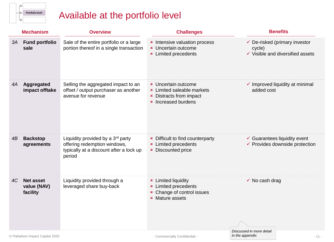

## Available at the portfolio level

|    | <b>Mechanism</b>                            | <b>Overview</b>                                                                                                                    | <b>Challenges</b>                                                                                                               | <b>Benefits</b>                                                                                   |
|----|---------------------------------------------|------------------------------------------------------------------------------------------------------------------------------------|---------------------------------------------------------------------------------------------------------------------------------|---------------------------------------------------------------------------------------------------|
| 3A | <b>Fund portfolio</b><br>sale               | Sale of the entire portfolio or a large<br>portion thereof in a single transaction                                                 | * Intensive valuation process<br><b>×</b> Uncertain outcome<br><b>*</b> Limited precedents                                      | $\checkmark$ De-risked (primary investor<br>cycle)<br>$\checkmark$ Visible and diversified assets |
| 4A | Aggregated<br>impact offtake                | Selling the aggregated impact to an<br>offset / output purchaser as another<br>avenue for revenue                                  | <b>*</b> Uncertain outcome<br><b>*</b> Limited saleable markets<br><b>×</b> Distracts from impact<br><b>×</b> Increased burdens | $\checkmark$ Improved liquidity at minimal<br>added cost                                          |
| 4B | <b>Backstop</b><br>agreements               | Liquidity provided by a 3 <sup>rd</sup> party<br>offering redemption windows,<br>typically at a discount after a lock up<br>period | <b>*</b> Difficult to find counterparty<br><b>*</b> Limited precedents<br><b>×</b> Discounted price                             | $\checkmark$ Guarantees liquidity event<br>✔ Provides downside protection                         |
| 4C | <b>Net asset</b><br>value (NAV)<br>facility | Liquidity provided through a<br>leveraged share buy-back                                                                           | <b>*</b> Limited liquidity<br><b>*</b> Limited precedents<br><b>*</b> Change of control issues<br><b>×</b> Mature assets        | $\checkmark$ No cash drag                                                                         |
|    | © Palladium Impact Capital 2020             |                                                                                                                                    | - Commercially Confidential -                                                                                                   | Discussed in more detail<br>in the appendix<br>$-11-$                                             |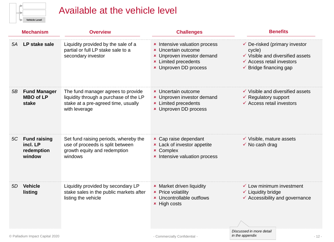| <b>Vehicle Level</b> |
|----------------------|

## Available at the vehicle level

|                                 | <b>Mechanism</b>                                    | <b>Overview</b>                                                                                                                      | <b>Challenges</b>                                                                                                                                        | <b>Benefits</b>                                                                                                                                                                |
|---------------------------------|-----------------------------------------------------|--------------------------------------------------------------------------------------------------------------------------------------|----------------------------------------------------------------------------------------------------------------------------------------------------------|--------------------------------------------------------------------------------------------------------------------------------------------------------------------------------|
| 5A                              | LP stake sale                                       | Liquidity provided by the sale of a<br>partial or full LP stake sale to a<br>secondary investor                                      | * Intensive valuation process<br><b>*</b> Uncertain outcome<br>* Unproven investor demand<br><b>*</b> Limited precedents<br><b>*</b> Unproven DD process | $\checkmark$ De-risked (primary investor<br>cycle)<br>$\checkmark$ Visible and diversified assets<br>$\checkmark$ Access retail investors<br>$\checkmark$ Bridge financing gap |
| 5B                              | <b>Fund Manager</b><br><b>MBO of LP</b><br>stake    | The fund manager agrees to provide<br>liquidity through a purchase of the LP<br>stake at a pre-agreed time, usually<br>with leverage | <b>*</b> Uncertain outcome<br><b>*</b> Unproven investor demand<br><b>*</b> Limited precedents<br><b>*</b> Unproven DD process                           | $\checkmark$ Visible and diversified assets<br>$\checkmark$ Regulatory support<br>$\checkmark$ Access retail investors                                                         |
|                                 | 5C Fund raising<br>incl. LP<br>redemption<br>window | Set fund raising periods, whereby the<br>use of proceeds is split between<br>growth equity and redemption<br>windows                 | <b>*</b> Cap raise dependant<br><b>x</b> Lack of investor appetite<br><b>× Complex</b><br>* Intensive valuation process                                  | $\checkmark$ Visible, mature assets<br>$\checkmark$ No cash drag                                                                                                               |
| <b>Vehicle</b><br>5D<br>listing |                                                     | Liquidity provided by secondary LP<br>stake sales in the public markets after<br>listing the vehicle                                 | <b>*</b> Market driven liquidity<br><b>*</b> Price volatility<br>× Uncontrollable outflows<br><b>*</b> High costs                                        | $\checkmark$ Low minimum investment<br>$\checkmark$ Liquidity bridge<br>✔ Accessibility and governance                                                                         |
|                                 | © Palladium Impact Capital 2020                     |                                                                                                                                      | - Commercially Confidential -                                                                                                                            | Discussed in more detail<br>in the appendix<br>$-12-$                                                                                                                          |

- 12 -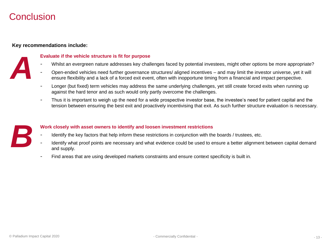## Conclusion

#### **Key recommendations include:**

# *A*

#### **Evaluate if the vehicle structure is fit for purpose**

- Whilst an evergreen nature addresses key challenges faced by potential investees, might other options be more appropriate?
- Open-ended vehicles need further governance structures/ aligned incentives and may limit the investor universe, yet it will ensure flexibility and a lack of a forced exit event, often with inopportune timing from a financial and impact perspective.
- Longer (but fixed) term vehicles may address the same underlying challenges, yet still create forced exits when running up against the hard tenor and as such would only partly overcome the challenges.
- Thus it is important to weigh up the need for a wide prospective investor base, the investee's need for patient capital and the tension between ensuring the best exit and proactively incentivising that exit. As such further structure evaluation is necessary.



#### **Work closely with asset owners to identify and loosen investment restrictions**

- Identify the key factors that help inform these restrictions in conjunction with the boards / trustees, etc.
- Identify what proof points are necessary and what evidence could be used to ensure a better alignment between capital demand and supply.
- Find areas that are using developed markets constraints and ensure context specificity is built in.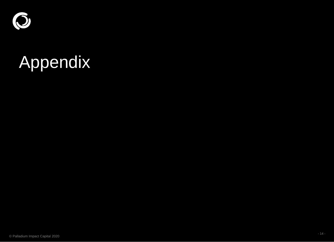

# Appendix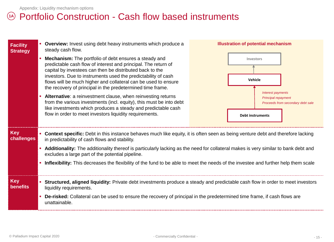## 14) Portfolio Construction - Cash flow based instruments

| <b>Facility</b><br><b>Strategy</b> | <b>Overview:</b> Invest using debt heavy instruments which produce a<br>steady cash flow.<br>Mechanism: The portfolio of debt ensures a steady and<br>predictable cash flow of interest and principal. The return of<br>capital by investees can then be distributed back to the<br>investors. Due to instruments used the predictability of cash<br>flows will be much higher and collateral can be used to ensure<br>the recovery of principal in the predetermined time frame.<br>Alternative: a reinvestment clause, when reinvesting returns<br>from the various investments (incl. equity), this must be into debt<br>like investments which produces a steady and predictable cash<br>flow in order to meet investors liquidity requirements. | <b>Illustration of potential mechanism</b><br>Investors<br>Vehicle<br><b>Interest payments</b><br><b>Principal repayment</b><br>Proceeds from secondary debt sale<br><b>Debt instruments</b> |  |
|------------------------------------|------------------------------------------------------------------------------------------------------------------------------------------------------------------------------------------------------------------------------------------------------------------------------------------------------------------------------------------------------------------------------------------------------------------------------------------------------------------------------------------------------------------------------------------------------------------------------------------------------------------------------------------------------------------------------------------------------------------------------------------------------|----------------------------------------------------------------------------------------------------------------------------------------------------------------------------------------------|--|
| <b>Key</b><br>challenges           | Context specific: Debt in this instance behaves much like equity, it is often seen as being venture debt and therefore lacking<br>in predictability of cash flows and stability.<br>Additionality: The additionality thereof is particularly lacking as the need for collateral makes is very similar to bank debt and<br>excludes a large part of the potential pipeline.<br>Inflexibility: This decreases the flexibility of the fund to be able to meet the needs of the investee and further help them scale                                                                                                                                                                                                                                     |                                                                                                                                                                                              |  |
| <b>Key</b><br><b>benefits</b>      | Structured, aligned liquidity: Private debt investments produce a steady and predictable cash flow in order to meet investors<br>liquidity requirements.<br>De-risked: Collateral can be used to ensure the recovery of principal in the predetermined time frame, if cash flows are<br>unattainable.                                                                                                                                                                                                                                                                                                                                                                                                                                                |                                                                                                                                                                                              |  |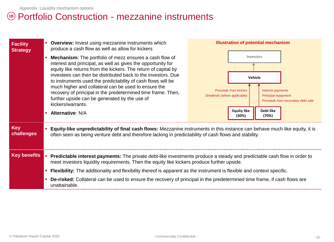## Portfolio Construction - mezzanine instruments **1B**

| <b>Facility</b><br><b>Strategy</b> | <b>Overview:</b> Invest using mezzanine instruments which<br>produce a cash flow as well as allow for kickers                                                                                                                                                                                                                                                                                                                                                                                                                  | <b>Illustration of potential mechanism</b>                                                                                                                                                                                    |  |
|------------------------------------|--------------------------------------------------------------------------------------------------------------------------------------------------------------------------------------------------------------------------------------------------------------------------------------------------------------------------------------------------------------------------------------------------------------------------------------------------------------------------------------------------------------------------------|-------------------------------------------------------------------------------------------------------------------------------------------------------------------------------------------------------------------------------|--|
|                                    | <b>Mechanism:</b> The portfolio of mezz ensures a cash flow of<br>interest and principal, as well as gives the opportunity for<br>equity like returns from the kickers. The return of capital by<br>investees can then be distributed back to the investors. Due<br>to instruments used the predictability of cash flows will be<br>much higher and collateral can be used to ensure the<br>recovery of principal in the predetermined time frame. Then,<br>further upside can be generated by the use of<br>kickers/warrants. | Investors<br>Vehicle<br><b>Proceeds from kickers</b><br><b>Interest payments</b><br>Dividends (where applicable)<br><b>Principal repayment</b><br>Proceeds from secondary debt sale<br><b>Equity like</b><br><b>Debt like</b> |  |
|                                    | <b>Alternative: N/A</b>                                                                                                                                                                                                                                                                                                                                                                                                                                                                                                        | (30%)<br>(70%)                                                                                                                                                                                                                |  |
| <b>Key</b><br>challenges           | Equity-like unpredictability of final cash flows: Mezzanine instruments in this instance can behave much like equity, it is<br>often seen as being venture debt and therefore lacking in predictability of cash flows and stability.                                                                                                                                                                                                                                                                                           |                                                                                                                                                                                                                               |  |
| <b>Key benefits</b>                | Predictable interest payments: The private debt-like investments produce a steady and predictable cash flow in order to<br>meet investors liquidity requirements. Then the equity like kickers produce further upside.                                                                                                                                                                                                                                                                                                         |                                                                                                                                                                                                                               |  |
|                                    | <b>Flexibility:</b> The additionality and flexibility thereof is apparent as the instrument is flexible and context specific.                                                                                                                                                                                                                                                                                                                                                                                                  |                                                                                                                                                                                                                               |  |
|                                    | De-risked: Collateral can be used to ensure the recovery of principal in the predetermined time frame, if cash flows are<br>unattainable.                                                                                                                                                                                                                                                                                                                                                                                      |                                                                                                                                                                                                                               |  |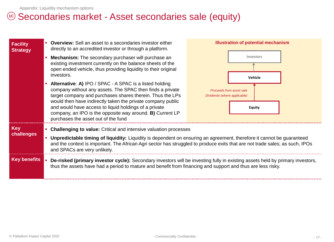## <sup>1c</sup> Secondaries market - Asset secondaries sale (equity)

| <b>Facility</b><br><b>Strategy</b>              | <b>Overview:</b> Sell an asset to a secondaries investor either<br>directly to an accredited investor or through a platform.<br><b>Mechanism:</b> The secondary purchaser will purchase an<br>existing investment currently on the balance sheets of the<br>open ended vehicle, thus providing liquidity to their original<br>investors.<br>Alternative: A) IPO / SPAC - A SPAC is a listed holding<br>company without any assets. The SPAC then finds a private<br>target company and purchases shares therein. Thus the LPs<br>would then have indirectly taken the private company public<br>and would have access to liquid holdings of a private                                                                | <b>Illustration of potential mechanism</b><br>Investors<br>Vehicle<br>Proceeds from asset sale<br>Dividends (where applicable)<br><b>Equity</b> |
|-------------------------------------------------|----------------------------------------------------------------------------------------------------------------------------------------------------------------------------------------------------------------------------------------------------------------------------------------------------------------------------------------------------------------------------------------------------------------------------------------------------------------------------------------------------------------------------------------------------------------------------------------------------------------------------------------------------------------------------------------------------------------------|-------------------------------------------------------------------------------------------------------------------------------------------------|
| <b>Key</b><br>challenges<br><b>Key benefits</b> | company, an IPO is the opposite way around. B) Current LP<br>purchases the asset out of the fund<br><b>Challenging to value:</b> Critical and intensive valuation processes<br>Unpredictable timing of liquidity: Liquidity is dependent on ensuring an agreement, therefore it cannot be guaranteed<br>and the context is important. The African Agri sector has struggled to produce exits that are not trade sales; as such, IPOs<br>and SPACs are very unlikely.<br>De-risked (primary investor cycle): Secondary investors will be investing fully in existing assets held by primary investors,<br>thus the assets have had a period to mature and benefit from financing and support and thus are less risky. |                                                                                                                                                 |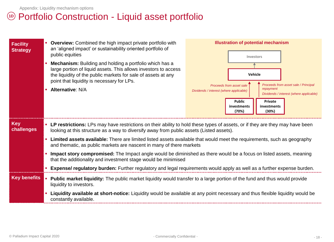## **<sup>10</sup>** Portfolio Construction - Liquid asset portfolio

| <b>Facility</b><br><b>Strategy</b> | • Overview: Combined the high impact private portfolio with<br>an 'aligned impact' or sustainability oriented portfolio of<br>public equities<br>Mechanism: Building and holding a portfolio which has a<br>large portion of liquid assets. This allows investors to access<br>the liquidity of the public markets for sale of assets at any<br>point that liquidity is necessary for LPs.<br><b>Alternative: N/A</b> | <b>Illustration of potential mechanism</b><br>Investors<br>Vehicle<br>Proceeds from asset sale / Principal<br>Proceeds from asset sale<br>repayment<br>Dividends / interest (where applicable)<br>Dividends / interest (where applicable)<br><b>Public</b><br>Private<br>investments<br>investments<br>(70%)<br>(30%) |  |
|------------------------------------|-----------------------------------------------------------------------------------------------------------------------------------------------------------------------------------------------------------------------------------------------------------------------------------------------------------------------------------------------------------------------------------------------------------------------|-----------------------------------------------------------------------------------------------------------------------------------------------------------------------------------------------------------------------------------------------------------------------------------------------------------------------|--|
| <b>Key</b><br>challenges           | • LP restrictions: LPs may have restrictions on their ability to hold these types of assets, or if they are they may have been<br>looking at this structure as a way to diversify away from public assets (Listed assets).                                                                                                                                                                                            |                                                                                                                                                                                                                                                                                                                       |  |
|                                    | <b>- Limited assets available:</b> There are limited listed assets available that would meet the requirements, such as geography<br>and thematic, as public markets are nascent in many of there markets                                                                                                                                                                                                              |                                                                                                                                                                                                                                                                                                                       |  |
|                                    | Impact story compromised: The Impact angle would be diminished as there would be a focus on listed assets, meaning<br>that the additionality and investment stage would be minimised                                                                                                                                                                                                                                  |                                                                                                                                                                                                                                                                                                                       |  |
|                                    | <b>Expense/ regulatory burden:</b> Further regulatory and legal requirements would apply as well as a further expense burden.                                                                                                                                                                                                                                                                                         |                                                                                                                                                                                                                                                                                                                       |  |
| <b>Key benefits</b>                | Public market liquidity: The public market liquidity would transfer to a large portion of the fund and thus would provide<br>liquidity to investors.                                                                                                                                                                                                                                                                  |                                                                                                                                                                                                                                                                                                                       |  |
|                                    | Liquidity available at short-notice: Liquidity would be available at any point necessary and thus flexible liquidity would be<br>constantly available.                                                                                                                                                                                                                                                                |                                                                                                                                                                                                                                                                                                                       |  |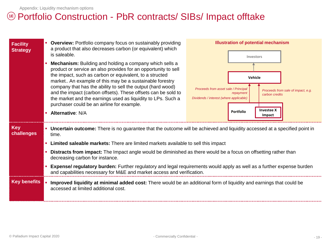## Portfolio Construction - PbR contracts/ SIBs/ Impact offtake **1E**

| <b>Facility</b><br><b>Strategy</b> |                                                                                                                                                             | <b>Overview:</b> Portfolio company focus on sustainably providing<br>a product that also decreases carbon (or equivalent) which<br>is saleable.                                                                                                                                                                                                                                                                                                                                                      | <b>Illustration of potential mechanism</b><br>Investors                                                                                                                                                         |  |
|------------------------------------|-------------------------------------------------------------------------------------------------------------------------------------------------------------|------------------------------------------------------------------------------------------------------------------------------------------------------------------------------------------------------------------------------------------------------------------------------------------------------------------------------------------------------------------------------------------------------------------------------------------------------------------------------------------------------|-----------------------------------------------------------------------------------------------------------------------------------------------------------------------------------------------------------------|--|
|                                    |                                                                                                                                                             | <b>Mechanism:</b> Building and holding a company which sells a<br>product or service an also provides for an opportunity to sell<br>the impact, such as carbon or equivalent, to a structed<br>market An example of this may be a sustainable forestry<br>company that has the ability to sell the output (hard wood)<br>and the impact (carbon offsets). These offsets can be sold to<br>the market and the earnings used as liquidity to LPs. Such a<br>purchaser could be an airline for example. | <b>Vehicle</b><br>Proceeds from asset sale / Principal<br>Proceeds from sale of impact, e.g.<br>repayment<br>carbon credits<br>Dividends / interest (where applicable)<br><b>Investee X</b><br><b>Portfolio</b> |  |
|                                    |                                                                                                                                                             | <b>Alternative: N/A</b>                                                                                                                                                                                                                                                                                                                                                                                                                                                                              | Impact                                                                                                                                                                                                          |  |
| <b>Key</b><br>challenges           |                                                                                                                                                             | • Uncertain outcome: There is no guarantee that the outcome will be achieved and liquidity accessed at a specified point in<br>time.                                                                                                                                                                                                                                                                                                                                                                 |                                                                                                                                                                                                                 |  |
|                                    |                                                                                                                                                             | Limited saleable markets: There are limited markets available to sell this impact                                                                                                                                                                                                                                                                                                                                                                                                                    |                                                                                                                                                                                                                 |  |
|                                    |                                                                                                                                                             | <b>Distracts from impact:</b> The Impact angle would be diminished as there would be a focus on offsetting rather than<br>decreasing carbon for instance.                                                                                                                                                                                                                                                                                                                                            |                                                                                                                                                                                                                 |  |
|                                    |                                                                                                                                                             | Expense/ regulatory burden: Further regulatory and legal requirements would apply as well as a further expense burden<br>and capabilities necessary for M&E and market access and verification.                                                                                                                                                                                                                                                                                                      |                                                                                                                                                                                                                 |  |
| <b>Key benefits</b>                | Improved liquidity at minimal added cost: There would be an additional form of liquidity and earnings that could be<br>accessed at limited additional cost. |                                                                                                                                                                                                                                                                                                                                                                                                                                                                                                      |                                                                                                                                                                                                                 |  |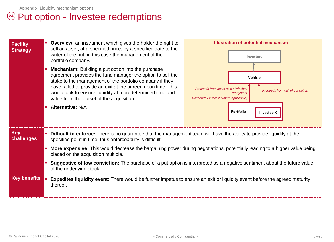## Put option - Investee redemptions **2A**

| Facility<br><b>Strategy</b> | <b>Overview:</b> an instrument which gives the holder the right to<br>sell an asset, at a specified price, by a specified date to the<br>writer of the put, in this case the management of the<br>portfolio company.<br><b>Mechanism:</b> Building a put option into the purchase<br>agreement provides the fund manager the option to sell the<br>stake to the management of the portfolio company if they<br>have failed to provide an exit at the agreed upon time. This<br>would look to ensure liquidity at a predetermined time and<br>value from the outset of the acquisition.<br><b>Alternative: N/A</b> | <b>Illustration of potential mechanism</b><br>Investors<br>Vehicle<br>Proceeds from asset sale / Principal<br>Proceeds from call of put option<br>repayment<br>Dividends / interest (where applicable)<br>Portfolio<br><b>Investee X</b> |  |
|-----------------------------|-------------------------------------------------------------------------------------------------------------------------------------------------------------------------------------------------------------------------------------------------------------------------------------------------------------------------------------------------------------------------------------------------------------------------------------------------------------------------------------------------------------------------------------------------------------------------------------------------------------------|------------------------------------------------------------------------------------------------------------------------------------------------------------------------------------------------------------------------------------------|--|
| <b>Key</b><br>challenges    | Difficult to enforce: There is no guarantee that the management team will have the ability to provide liquidity at the<br>specified point in time, thus enforceability is difficult.<br><b>More expensive:</b> This would decrease the bargaining power during negotiations, potentially leading to a higher value being<br>placed on the acquisition multiple.                                                                                                                                                                                                                                                   |                                                                                                                                                                                                                                          |  |
|                             | Suggestive of low conviction: The purchase of a put option is interpreted as a negative sentiment about the future value<br>of the underlying stock                                                                                                                                                                                                                                                                                                                                                                                                                                                               |                                                                                                                                                                                                                                          |  |
| <b>Key benefits</b>         | thereof.                                                                                                                                                                                                                                                                                                                                                                                                                                                                                                                                                                                                          | <b>Expedites liquidity event:</b> There would be further impetus to ensure an exit or liquidity event before the agreed maturity                                                                                                         |  |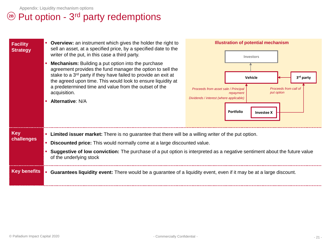## <sup>2B</sup> Put option - 3<sup>rd</sup> party redemptions

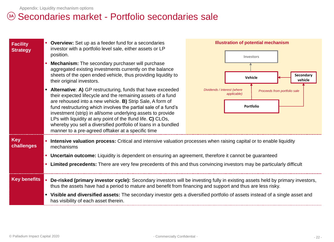## Secondaries market - Portfolio secondaries sale **3A**

| <b>Facility</b><br><b>Strategy</b> | <b>Overview:</b> Set up as a feeder fund for a secondaries<br>investor with a portfolio level sale, either assets or LP<br>position.<br><b>Mechanism:</b> The secondary purchaser will purchase<br>aggregated existing investments currently on the balance<br>sheets of the open ended vehicle, thus providing liquidity to<br>their original investors.<br>Alternative: A) GP restructuring, funds that have exceeded<br>their expected lifecycle and the remaining assets of a fund<br>are rehoused into a new vehicle. B) Strip Sale, A form of<br>fund restructuring which involves the partial sale of a fund's<br>investment (strip) in all/some underlying assets to provide | <b>Illustration of potential mechanism</b><br>Investors<br><b>Secondary</b><br>Vehicle<br>vehicle<br>Dividends / interest (where<br>Proceeds from portfolio sale<br>applicable)<br>Portfolio |  |
|------------------------------------|--------------------------------------------------------------------------------------------------------------------------------------------------------------------------------------------------------------------------------------------------------------------------------------------------------------------------------------------------------------------------------------------------------------------------------------------------------------------------------------------------------------------------------------------------------------------------------------------------------------------------------------------------------------------------------------|----------------------------------------------------------------------------------------------------------------------------------------------------------------------------------------------|--|
|                                    | LPs with liquidity at any point of the Ifund life. C) CLOs,<br>whereby you sell a diversified portfolio of loans in a bundled<br>manner to a pre-agreed offtaker at a specific time                                                                                                                                                                                                                                                                                                                                                                                                                                                                                                  |                                                                                                                                                                                              |  |
| <b>Key</b><br>challenges           | Intensive valuation process: Critical and intensive valuation processes when raising capital or to enable liquidity<br>mechanisms<br>• Uncertain outcome: Liquidity is dependent on ensuring an agreement, therefore it cannot be guaranteed<br>Limited precedents: There are very few precedents of this and thus convincing investors may be particularly difficult                                                                                                                                                                                                                                                                                                                |                                                                                                                                                                                              |  |
| <b>Key benefits</b>                | thus the assets have had a period to mature and benefit from financing and support and thus are less risky.                                                                                                                                                                                                                                                                                                                                                                                                                                                                                                                                                                          | De-risked (primary investor cycle): Secondary investors will be investing fully in existing assets held by primary investors,                                                                |  |
|                                    | • Visible and diversified assets: The secondary investor gets a diversified portfolio of assets instead of a single asset and<br>has visibility of each asset therein.                                                                                                                                                                                                                                                                                                                                                                                                                                                                                                               |                                                                                                                                                                                              |  |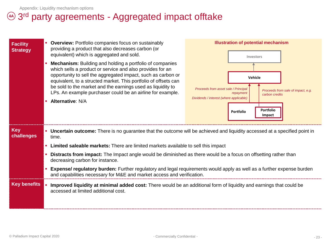## 3 rd party agreements - Aggregated impact offtake **4A**

| <b>Facility</b><br><b>Strategy</b> | <b>Overview: Portfolio companies focus on sustainably</b><br>providing a product that also decreases carbon (or<br>equivalent) which is aggregated and sold.<br><b>Mechanism:</b> Building and holding a portfolio of companies<br>which sells a product or service and also provides for an<br>opportunity to sell the aggregated impact, such as carbon or<br>equivalent, to a structed market. This portfolio of offsets can<br>be sold to the market and the earnings used as liquidity to<br>LPs. An example purchaser could be an airline for example.<br><b>Alternative: N/A</b> | Proceeds from asset sale / Principal<br>Dividends / interest (where applicable)                                 | <b>Illustration of potential mechanism</b><br>Investors<br>Vehicle<br>Proceeds from sale of impact, e.g.<br>repayment<br>carbon credits<br><b>Portfolio</b><br><b>Portfolio</b><br>Impact |
|------------------------------------|-----------------------------------------------------------------------------------------------------------------------------------------------------------------------------------------------------------------------------------------------------------------------------------------------------------------------------------------------------------------------------------------------------------------------------------------------------------------------------------------------------------------------------------------------------------------------------------------|-----------------------------------------------------------------------------------------------------------------|-------------------------------------------------------------------------------------------------------------------------------------------------------------------------------------------|
| <b>Key</b><br>challenges           | • Uncertain outcome: There is no guarantee that the outcome will be achieved and liquidity accessed at a specified point in<br>time.                                                                                                                                                                                                                                                                                                                                                                                                                                                    |                                                                                                                 |                                                                                                                                                                                           |
|                                    | Limited saleable markets: There are limited markets available to sell this impact                                                                                                                                                                                                                                                                                                                                                                                                                                                                                                       |                                                                                                                 |                                                                                                                                                                                           |
|                                    | decreasing carbon for instance.                                                                                                                                                                                                                                                                                                                                                                                                                                                                                                                                                         | Distracts from impact: The Impact angle would be diminished as there would be a focus on offsetting rather than |                                                                                                                                                                                           |
|                                    | Expense/ regulatory burden: Further regulatory and legal requirements would apply as well as a further expense burden<br>and capabilities necessary for M&E and market access and verification.                                                                                                                                                                                                                                                                                                                                                                                         |                                                                                                                 |                                                                                                                                                                                           |
| <b>Key benefits</b>                | Improved liquidity at minimal added cost: There would be an additional form of liquidity and earnings that could be<br>accessed at limited additional cost.                                                                                                                                                                                                                                                                                                                                                                                                                             |                                                                                                                 |                                                                                                                                                                                           |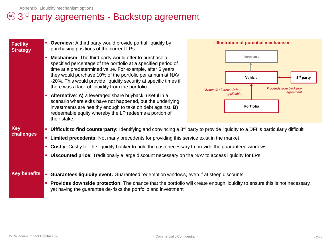## $\overline{4\mathsf{B}}$  3<sup>rd</sup> party agreements - Backstop agreement

| <b>Facility</b><br><b>Strategy</b> | <b>Overview:</b> A third party would provide partial liquidity by<br>purchasing positions of the current LPs.                                                                                                                                                                                                                                                                                                                                                                                                                                                                                                                                          |                             | <b>Illustration of potential mechanism</b>                                                                  |
|------------------------------------|--------------------------------------------------------------------------------------------------------------------------------------------------------------------------------------------------------------------------------------------------------------------------------------------------------------------------------------------------------------------------------------------------------------------------------------------------------------------------------------------------------------------------------------------------------------------------------------------------------------------------------------------------------|-----------------------------|-------------------------------------------------------------------------------------------------------------|
|                                    | <b>Mechanism:</b> The third party would offer to purchase a<br>specified percentage of the portfolio at a specified period of<br>time at a predetermined value. For example, after 6 years<br>they would purchase 10% of the portfolio per annum at NAV<br>-20%. This would provide liquidity security at specific times if<br>there was a lack of liquidity from the portfolio.<br>Alternative: A) a leveraged share buyback, useful in a<br>scenario where exits have not happened, but the underlying<br>investments are healthy enough to take on debt against. <b>B)</b><br>redeemable equity whereby the LP redeems a portion of<br>their stake. | Dividends / interest (where | Investors<br>Vehicle<br>3rd party<br>Proceeds from backstop<br>agreement<br>applicable)<br><b>Portfolio</b> |
| <b>Key</b><br>challenges           | • Difficult to find counterparty: Identifying and convincing a 3 <sup>rd</sup> party to provide liquidity to a DFI is particularly difficult.<br>• Limited precedents: Not many precedents for providing this service exist in the market<br>• Costly: Costly for the liquidity backer to hold the cash necessary to provide the guaranteed windows<br><b>• Discounted price:</b> Traditionally a large discount necessary on the NAV to access liquidity for LPs                                                                                                                                                                                      |                             |                                                                                                             |
| <b>Key benefits</b>                | <b>Guarantees liquidity event:</b> Guaranteed redemption windows, even if at steep discounts<br>Provides downside protection: The chance that the portfolio will create enough liquidity to ensure this is not necessary,<br>yet having the guarantee de-risks the portfolio and investment                                                                                                                                                                                                                                                                                                                                                            |                             |                                                                                                             |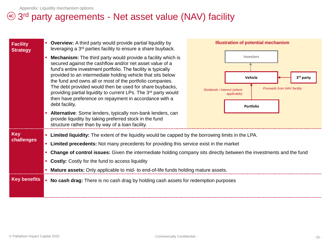## 3 rd party agreements - Net asset value (NAV) facility **4C**

| <b>Facility</b><br><b>Strategy</b> |                                                                                    | <b>Overview:</b> A third party would provide partial liquidity by<br>leveraging a 3 <sup>rd</sup> parties facility to ensure a share buyback.                                                                                                                                                                                                                                                                                                                                                                                                                                                         |                             | <b>Illustration of potential mechanism</b>                                                  |
|------------------------------------|------------------------------------------------------------------------------------|-------------------------------------------------------------------------------------------------------------------------------------------------------------------------------------------------------------------------------------------------------------------------------------------------------------------------------------------------------------------------------------------------------------------------------------------------------------------------------------------------------------------------------------------------------------------------------------------------------|-----------------------------|---------------------------------------------------------------------------------------------|
|                                    |                                                                                    | <b>Mechanism:</b> The third party would provide a facility which is<br>secured against the cashflow and/or net asset value of a<br>fund's entire investment portfolio. The facility is typically<br>provided to an intermediate holding vehicle that sits below<br>the fund and owns all or most of the portfolio companies.<br>The debt provided would then be used for share buybacks,<br>providing partial liquidity to current LPs. The 3rd party would<br>then have preference on repayment in accordance with a<br>debt facility.<br>Alternative: Some lenders, typically non-bank lenders, can | Dividends / interest (where | Investors<br>Vehicle<br>3rd party<br>Proceeds from NAV facility<br>applicable)<br>Portfolio |
|                                    |                                                                                    | provide liquidity by taking preferred stock in the fund<br>structure rather than by way of a loan facility.                                                                                                                                                                                                                                                                                                                                                                                                                                                                                           |                             |                                                                                             |
| <b>Key</b><br>challenges           |                                                                                    | <b>Example 2</b> Limited liquidity: The extent of the liquidity would be capped by the borrowing limits in the LPA.<br>• Limited precedents: Not many precedents for providing this service exist in the market<br>• Change of control issues: Given the intermediate holding company sits directly between the investments and the fund<br>• Costly: Costly for the fund to access liquidity<br>• Mature assets: Only applicable to mid- to end-of-life funds holding mature assets.                                                                                                                 |                             |                                                                                             |
| <b>Key benefits</b>                | No cash drag: There is no cash drag by holding cash assets for redemption purposes |                                                                                                                                                                                                                                                                                                                                                                                                                                                                                                                                                                                                       |                             |                                                                                             |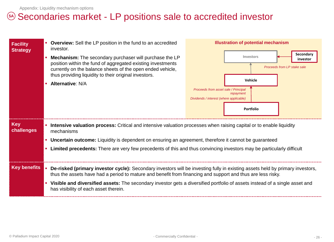## 5A) Secondaries market - LP positions sale to accredited investor

| <b>Facility</b><br><b>Strategy</b> | <b>Overview:</b> Sell the LP position in the fund to an accredited<br>investor.<br><b>Mechanism:</b> The secondary purchaser will purchase the LP<br>position within the fund of aggregated existing investments<br>currently on the balance sheets of the open ended vehicle,<br>thus providing liquidity to their original investors.<br><b>Alternative: N/A</b> | <b>Illustration of potential mechanism</b><br>Secondary<br>Investors<br>investor<br>Proceeds from LP stake sale<br>Vehicle<br>Proceeds from asset sale / Principal<br>repayment<br>Dividends / interest (where applicable)<br><b>Portfolio</b> |
|------------------------------------|--------------------------------------------------------------------------------------------------------------------------------------------------------------------------------------------------------------------------------------------------------------------------------------------------------------------------------------------------------------------|------------------------------------------------------------------------------------------------------------------------------------------------------------------------------------------------------------------------------------------------|
| <b>Key</b><br>challenges           | Intensive valuation process: Critical and intensive valuation processes when raising capital or to enable liquidity<br>mechanisms                                                                                                                                                                                                                                  |                                                                                                                                                                                                                                                |
|                                    | • Uncertain outcome: Liquidity is dependent on ensuring an agreement, therefore it cannot be guaranteed                                                                                                                                                                                                                                                            |                                                                                                                                                                                                                                                |
|                                    | Limited precedents: There are very few precedents of this and thus convincing investors may be particularly difficult                                                                                                                                                                                                                                              |                                                                                                                                                                                                                                                |
| <b>Key benefits</b>                | De-risked (primary investor cycle): Secondary investors will be investing fully in existing assets held by primary investors,<br>thus the assets have had a period to mature and benefit from financing and support and thus are less risky.                                                                                                                       |                                                                                                                                                                                                                                                |
|                                    | • Visible and diversified assets: The secondary investor gets a diversified portfolio of assets instead of a single asset and<br>has visibility of each asset therein.                                                                                                                                                                                             |                                                                                                                                                                                                                                                |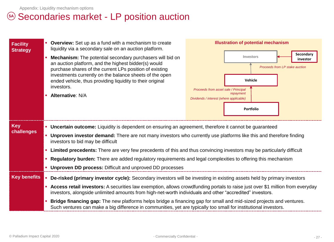## 5A) Secondaries market - LP position auction

| <b>Facility</b><br><b>Strategy</b> | • Overview: Set up as a fund with a mechanism to create<br>liquidity via a secondary sale on an auction platform.<br><b>Mechanism:</b> The potential secondary purchasers will bid on<br>an auction platform, and the highest bidder(s) would<br>purchase shares of the current LPs position of existing<br>investments currently on the balance sheets of the open<br>ended vehicle, thus providing liquidity to their original<br>investors.<br>- Alternative: N/A                                                                                                                                                    | <b>Illustration of potential mechanism</b><br>Secondary<br>Investors<br>investor<br>Proceeds from LP stake auction<br>Vehicle<br>Proceeds from asset sale / Principal<br>repayment<br>Dividends / interest (where applicable)<br><b>Portfolio</b> |
|------------------------------------|-------------------------------------------------------------------------------------------------------------------------------------------------------------------------------------------------------------------------------------------------------------------------------------------------------------------------------------------------------------------------------------------------------------------------------------------------------------------------------------------------------------------------------------------------------------------------------------------------------------------------|---------------------------------------------------------------------------------------------------------------------------------------------------------------------------------------------------------------------------------------------------|
| <b>Key</b><br>challenges           | • Uncertain outcome: Liquidity is dependent on ensuring an agreement, therefore it cannot be guaranteed<br>Unproven investor demand: There are not many investors who currently use platforms like this and therefore finding<br>investors to bid may be difficult<br>• Limited precedents: There are very few precedents of this and thus convincing investors may be particularly difficult<br>• Regulatory burden: There are added regulatory requirements and legal complexities to offering this mechanism<br><b>Unproven DD process: Difficult and unproved DD processes</b>                                      |                                                                                                                                                                                                                                                   |
| <b>Key benefits</b>                | De-risked (primary investor cycle): Secondary investors will be investing in existing assets held by primary investors<br><b>- Access retail investors:</b> A securities law exemption, allows crowdfunding portals to raise just over \$1 million from everyday<br>investors, alongside unlimited amounts from high-net-worth individuals and other "accredited" investors.<br>Bridge financing gap: The new platforms helps bridge a financing gap for small and mid-sized projects and ventures.<br>Such ventures can make a big difference in communities, yet are typically too small for institutional investors. |                                                                                                                                                                                                                                                   |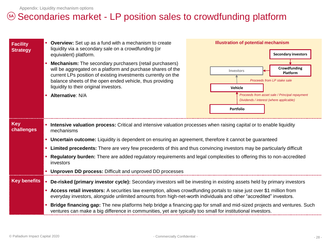## 5A) Secondaries market - LP position sales to crowdfunding platform

| <b>Facility</b><br><b>Strategy</b> | <b>Overview:</b> Set up as a fund with a mechanism to create<br>liquidity via a secondary sale on a crowdfunding (or<br>equivalent) platform.<br><b>Mechanism:</b> The secondary purchasers (retail purchasers)<br>will be aggregated on a platform and purchase shares of the<br>current LPs position of existing investments currently on the<br>balance sheets of the open ended vehicle, thus providing<br>liquidity to their original investors.<br><b>Alternative: N/A</b> | <b>Illustration of potential mechanism</b><br><b>Secondary investors</b><br>Crowdfunding<br>Investors<br>Platform<br>Proceeds from LP stake sale<br>Vehicle<br>Proceeds from asset sale / Principal repayment<br>Dividends / interest (where applicable)<br>Portfolio |  |
|------------------------------------|----------------------------------------------------------------------------------------------------------------------------------------------------------------------------------------------------------------------------------------------------------------------------------------------------------------------------------------------------------------------------------------------------------------------------------------------------------------------------------|-----------------------------------------------------------------------------------------------------------------------------------------------------------------------------------------------------------------------------------------------------------------------|--|
| <b>Key</b><br>challenges           | Intensive valuation process: Critical and intensive valuation processes when raising capital or to enable liquidity<br>mechanisms                                                                                                                                                                                                                                                                                                                                                |                                                                                                                                                                                                                                                                       |  |
|                                    | • Uncertain outcome: Liquidity is dependent on ensuring an agreement, therefore it cannot be guaranteed                                                                                                                                                                                                                                                                                                                                                                          |                                                                                                                                                                                                                                                                       |  |
|                                    | Limited precedents: There are very few precedents of this and thus convincing investors may be particularly difficult                                                                                                                                                                                                                                                                                                                                                            |                                                                                                                                                                                                                                                                       |  |
|                                    | Regulatory burden: There are added regulatory requirements and legal complexities to offering this to non-accredited<br>investors                                                                                                                                                                                                                                                                                                                                                |                                                                                                                                                                                                                                                                       |  |
|                                    | • Unproven DD process: Difficult and unproved DD processes                                                                                                                                                                                                                                                                                                                                                                                                                       |                                                                                                                                                                                                                                                                       |  |
| <b>Key benefits</b>                | De-risked (primary investor cycle): Secondary investors will be investing in existing assets held by primary investors                                                                                                                                                                                                                                                                                                                                                           |                                                                                                                                                                                                                                                                       |  |
|                                    | <b>- Access retail investors:</b> A securities law exemption, allows crowdfunding portals to raise just over \$1 million from<br>everyday investors, alongside unlimited amounts from high-net-worth individuals and other "accredited" investors.                                                                                                                                                                                                                               |                                                                                                                                                                                                                                                                       |  |
|                                    | Bridge financing gap: The new platforms help bridge a financing gap for small and mid-sized projects and ventures. Such<br>ventures can make a big difference in communities, yet are typically too small for institutional investors.                                                                                                                                                                                                                                           |                                                                                                                                                                                                                                                                       |  |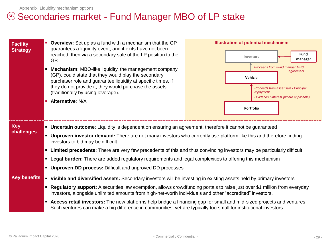## 5B) Secondaries market - Fund Manager MBO of LP stake

| <b>Facility</b><br><b>Strategy</b> | <b>Overview:</b> Set up as a fund with a mechanism that the GP<br>guarantees a liquidity event, and if exits have not been<br>reached, then via a secondary sale of the LP position to the<br>GP.                                                                   | <b>Illustration of potential mechanism</b><br><b>Fund</b><br>Investors<br>manager            |  |  |
|------------------------------------|---------------------------------------------------------------------------------------------------------------------------------------------------------------------------------------------------------------------------------------------------------------------|----------------------------------------------------------------------------------------------|--|--|
|                                    | <b>Mechanism:</b> MBO-like liquidity, the management company<br>(GP), could state that they would play the secondary<br>purchaser role and guarantee liquidity at specific times, if                                                                                | Proceeds from Fund manger MBO<br>agreement<br>Vehicle                                        |  |  |
|                                    | they do not provide it, they would purchase the assets<br>(traditionally by using leverage).                                                                                                                                                                        | Proceeds from asset sale / Principal<br>repayment<br>Dividends / interest (where applicable) |  |  |
|                                    | <b>Alternative: N/A</b>                                                                                                                                                                                                                                             | <b>Portfolio</b>                                                                             |  |  |
| <b>Key</b>                         | • Uncertain outcome: Liquidity is dependent on ensuring an agreement, therefore it cannot be guaranteed<br>• Unproven investor demand: There are not many investors who currently use platform like this and therefore finding<br>investors to bid may be difficult |                                                                                              |  |  |
| challenges                         |                                                                                                                                                                                                                                                                     |                                                                                              |  |  |
|                                    | • Limited precedents: There are very few precedents of this and thus convincing investors may be particularly difficult                                                                                                                                             |                                                                                              |  |  |
|                                    | • Legal burden: There are added regulatory requirements and legal complexities to offering this mechanism                                                                                                                                                           |                                                                                              |  |  |
|                                    | • Unproven DD process: Difficult and unproved DD processes                                                                                                                                                                                                          |                                                                                              |  |  |
| <b>Key benefits</b>                | Visible and diversified assets: Secondary investors will be investing in existing assets held by primary investors<br>$\blacksquare$                                                                                                                                |                                                                                              |  |  |
|                                    | " Regulatory support: A securities law exemption, allows crowdfunding portals to raise just over \$1 million from everyday<br>investors, alongside unlimited amounts from high-net-worth individuals and other "accredited" investors.                              |                                                                                              |  |  |
|                                    | <b>Access retail investors:</b> The new platforms help bridge a financing gap for small and mid-sized projects and ventures.<br>Such ventures can make a big difference in communities, yet are typically too small for institutional investors.                    |                                                                                              |  |  |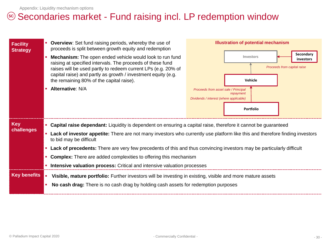## 5<sup>c</sup>) Secondaries market - Fund raising incl. LP redemption window

| <b>Facility</b><br><b>Strategy</b> | • Overview: Set fund raising periods, whereby the use of<br>proceeds is split between growth equity and redemption<br>Mechanism: The open ended vehicle would look to run fund<br>raising at specified intervals. The proceeds of these fund<br>raises will be used partly to redeem current LPs (e.g. 20% of<br>capital raise) and partly as growth / investment equity (e.g.<br>the remaining 80% of the capital raise).<br><b>Alternative: N/A</b>                                                                                                                   | <b>Illustration of potential mechanism</b><br>Secondary<br>Investors<br>investors<br>Proceeds from capital raise<br>Vehicle<br>Proceeds from asset sale / Principal<br>repayment<br>Dividends / interest (where applicable)<br><b>Portfolio</b> |  |
|------------------------------------|-------------------------------------------------------------------------------------------------------------------------------------------------------------------------------------------------------------------------------------------------------------------------------------------------------------------------------------------------------------------------------------------------------------------------------------------------------------------------------------------------------------------------------------------------------------------------|-------------------------------------------------------------------------------------------------------------------------------------------------------------------------------------------------------------------------------------------------|--|
| <b>Key</b><br>challenges           | • Capital raise dependant: Liquidity is dependent on ensuring a capital raise, therefore it cannot be guaranteed<br><b>- Lack of investor appetite:</b> There are not many investors who currently use platform like this and therefore finding investors<br>to bid may be difficult<br>• Lack of precedents: There are very few precedents of this and thus convincing investors may be particularly difficult<br>• Complex: There are added complexities to offering this mechanism<br><b>Intensive valuation process:</b> Critical and intensive valuation processes |                                                                                                                                                                                                                                                 |  |
| <b>Key benefits</b>                | Visible, mature portfolio: Further investors will be investing in existing, visible and more mature assets<br>$\mathcal{L}_{\mathcal{A}}$<br>No cash drag: There is no cash drag by holding cash assets for redemption purposes                                                                                                                                                                                                                                                                                                                                         |                                                                                                                                                                                                                                                 |  |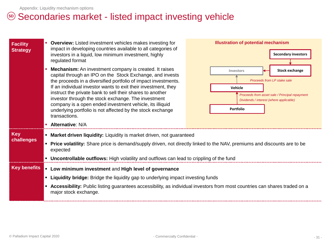## 5D Secondaries market - listed impact investing vehicle

| <b>Facility</b><br><b>Strategy</b> | <b>Overview:</b> Listed investment vehicles makes investing for<br>impact in developing countries available to all categories of<br>investors in a liquid, low minimum investment, highly<br>regulated format<br>Mechanism: An investment company is created. It raises<br>capital through an IPO on the Stock Exchange, and invests<br>the proceeds in a diversified portfolio of impact investments.<br>If an individual investor wants to exit their investment, they<br>instruct the private bank to sell their shares to another<br>investor through the stock exchange. The investment<br>company is a open ended investment vehicle, its illiquid<br>underlying portfolio is not affected by the stock exchange<br>transactions.<br>• Alternative: N/A | <b>Illustration of potential mechanism</b><br><b>Secondary investors</b><br><b>Stock exchange</b><br>Investors<br>Proceeds from LP stake sale<br>Vehicle<br>Proceeds from asset sale / Principal repayment<br>Dividends / interest (where applicable)<br><b>Portfolio</b> |  |
|------------------------------------|---------------------------------------------------------------------------------------------------------------------------------------------------------------------------------------------------------------------------------------------------------------------------------------------------------------------------------------------------------------------------------------------------------------------------------------------------------------------------------------------------------------------------------------------------------------------------------------------------------------------------------------------------------------------------------------------------------------------------------------------------------------|---------------------------------------------------------------------------------------------------------------------------------------------------------------------------------------------------------------------------------------------------------------------------|--|
| <b>Key</b><br>challenges           | • Market driven liquidity: Liquidity is market driven, not guaranteed<br>• Price volatility: Share price is demand/supply driven, not directly linked to the NAV, premiums and discounts are to be<br>expected<br>• Uncontrollable outflows: High volatility and outflows can lead to crippling of the fund                                                                                                                                                                                                                                                                                                                                                                                                                                                   |                                                                                                                                                                                                                                                                           |  |
| <b>Key benefits</b>                | • Low minimum investment and High level of governance                                                                                                                                                                                                                                                                                                                                                                                                                                                                                                                                                                                                                                                                                                         |                                                                                                                                                                                                                                                                           |  |
|                                    | " Liquidity bridge: Bridge the liquidity gap to underlying impact investing funds                                                                                                                                                                                                                                                                                                                                                                                                                                                                                                                                                                                                                                                                             |                                                                                                                                                                                                                                                                           |  |
|                                    | <b>Accessibility:</b> Public listing guarantees accessibility, as individual investors from most countries can shares traded on a<br>major stock exchange.                                                                                                                                                                                                                                                                                                                                                                                                                                                                                                                                                                                                    |                                                                                                                                                                                                                                                                           |  |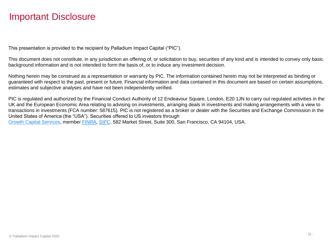## Important Disclosure

This presentation is provided to the recipient by Palladium Impact Capital ("PIC").

This document does not constitute, in any jurisdiction an offering of, or solicitation to buy, securities of any kind and is intended to convey only basic background information and is not intended to form the basis of, or to induce any investment decision.

Nothing herein may be construed as a representation or warranty by PIC. The information contained herein may not be interpreted as binding or guaranteed with respect to the past, present or future. Financial information and data contained in this document are based on certain assumptions, estimates and subjective analyses and have not been independently verified.

PIC is regulated and authorized by the Financial Conduct Authority of 12 Endeavour Square, London, E20 1JN to carry out regulated activities in the UK and the European Economic Area relating to advising on investments, arranging deals in investments and making arrangements with a view to transactions in investments (FCA number: 587615). PIC is not registered as a broker or dealer with the Securities and Exchange Commission in the United States of America (the "USA"). Securities offered to US investors through [Growth Capital Services](http://www.growthcapitalservices.com/), member [FINRA](http://www.finra.org/), [SIPC.](http://www.sipc.org/) 582 Market Street, Suite 300, San Francisco, CA 94104, USA.